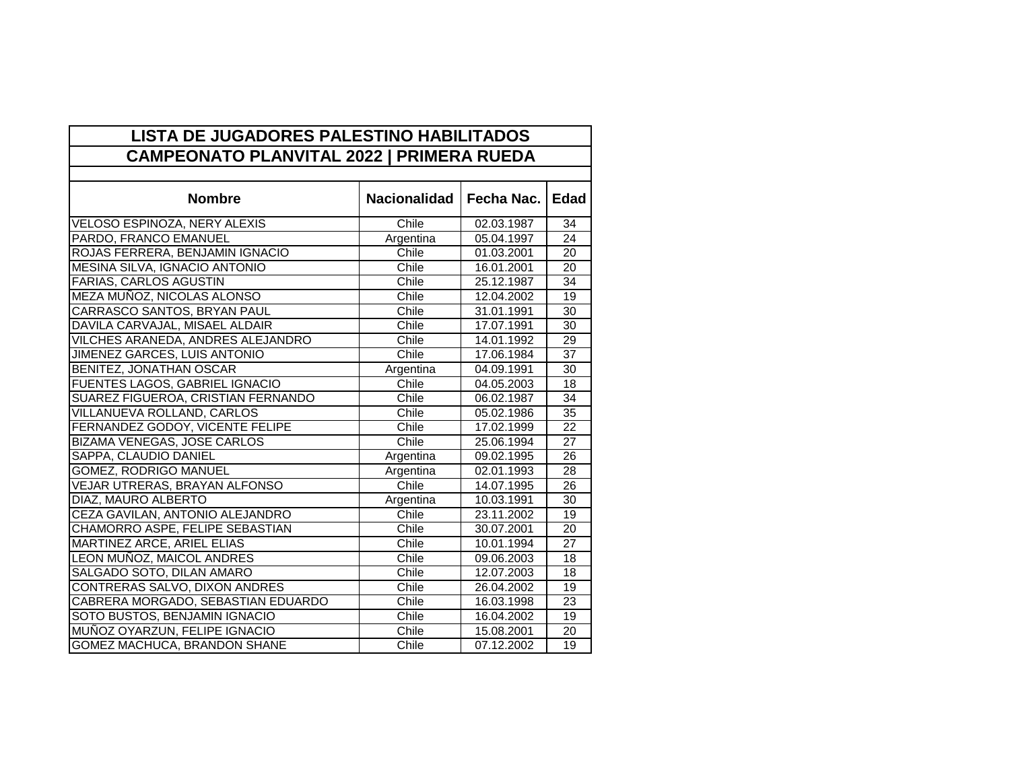| <b>LISTA DE JUGADORES PALESTINO HABILITADOS</b>  |                     |            |                 |  |  |
|--------------------------------------------------|---------------------|------------|-----------------|--|--|
| <b>CAMPEONATO PLANVITAL 2022   PRIMERA RUEDA</b> |                     |            |                 |  |  |
|                                                  |                     |            |                 |  |  |
| <b>Nombre</b>                                    | <b>Nacionalidad</b> | Fecha Nac. | <b>Edad</b>     |  |  |
| VELOSO ESPINOZA, NERY ALEXIS                     | Chile               | 02.03.1987 | 34              |  |  |
| PARDO, FRANCO EMANUEL                            | Argentina           | 05.04.1997 | 24              |  |  |
| ROJAS FERRERA, BENJAMIN IGNACIO                  | Chile               | 01.03.2001 | $\overline{20}$ |  |  |
| MESINA SILVA, IGNACIO ANTONIO                    | Chile               | 16.01.2001 | 20              |  |  |
| <b>FARIAS, CARLOS AGUSTIN</b>                    | Chile               | 25.12.1987 | 34              |  |  |
| MEZA MUÑOZ, NICOLAS ALONSO                       | Chile               | 12.04.2002 | 19              |  |  |
| CARRASCO SANTOS, BRYAN PAUL                      | Chile               | 31.01.1991 | $\overline{30}$ |  |  |
| DAVILA CARVAJAL, MISAEL ALDAIR                   | Chile               | 17.07.1991 | 30              |  |  |
| VILCHES ARANEDA, ANDRES ALEJANDRO                | Chile               | 14.01.1992 | 29              |  |  |
| JIMENEZ GARCES, LUIS ANTONIO                     | Chile               | 17.06.1984 | 37              |  |  |
| BENITEZ, JONATHAN OSCAR                          | Argentina           | 04.09.1991 | 30              |  |  |
| FUENTES LAGOS, GABRIEL IGNACIO                   | Chile               | 04.05.2003 | 18              |  |  |
| SUAREZ FIGUEROA, CRISTIAN FERNANDO               | Chile               | 06.02.1987 | 34              |  |  |
| VILLANUEVA ROLLAND, CARLOS                       | Chile               | 05.02.1986 | $\overline{35}$ |  |  |
| FERNANDEZ GODOY, VICENTE FELIPE                  | Chile               | 17.02.1999 | 22              |  |  |
| <b>BIZAMA VENEGAS, JOSE CARLOS</b>               | Chile               | 25.06.1994 | 27              |  |  |
| SAPPA, CLAUDIO DANIEL                            | Argentina           | 09.02.1995 | $\overline{26}$ |  |  |
| <b>GOMEZ, RODRIGO MANUEL</b>                     | Argentina           | 02.01.1993 | $\overline{28}$ |  |  |
| VEJAR UTRERAS, BRAYAN ALFONSO                    | Chile               | 14.07.1995 | 26              |  |  |
| DIAZ, MAURO ALBERTO                              | Argentina           | 10.03.1991 | 30              |  |  |
| CEZA GAVILAN, ANTONIO ALEJANDRO                  | Chile               | 23.11.2002 | 19              |  |  |
| CHAMORRO ASPE, FELIPE SEBASTIAN                  | Chile               | 30.07.2001 | 20              |  |  |
| MARTINEZ ARCE, ARIEL ELIAS                       | Chile               | 10.01.1994 | 27              |  |  |
| LEON MUNOZ, MAICOL ANDRES                        | Chile               | 09.06.2003 | 18              |  |  |
| SALGADO SOTO, DILAN AMARO                        | Chile               | 12.07.2003 | 18              |  |  |
| CONTRERAS SALVO, DIXON ANDRES                    | Chile               | 26.04.2002 | 19              |  |  |
| CABRERA MORGADO, SEBASTIAN EDUARDO               | Chile               | 16.03.1998 | 23              |  |  |
| SOTO BUSTOS, BENJAMIN IGNACIO                    | Chile               | 16.04.2002 | 19              |  |  |
| MUÑOZ OYARZUN, FELIPE IGNACIO                    | Chile               | 15.08.2001 | 20              |  |  |
| <b>GOMEZ MACHUCA, BRANDON SHANE</b>              | Chile               | 07.12.2002 | $\overline{19}$ |  |  |

÷